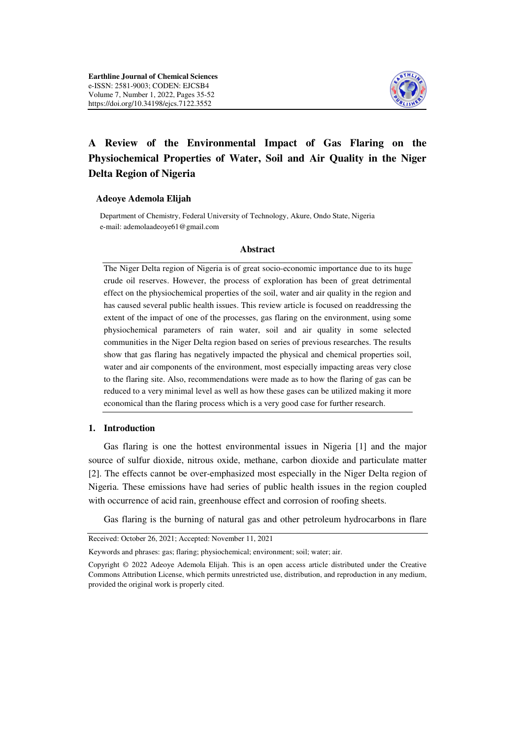

# **A Review of the Environmental Impact of Gas Flaring on the Physiochemical Properties of Water, Soil and Air Quality in the Niger Delta Region of Nigeria**

#### **Adeoye Ademola Elijah**

 Department of Chemistry, Federal University of Technology, Akure, Ondo State, Nigeria e-mail: ademolaadeoye61@gmail.com

#### **Abstract**

The Niger Delta region of Nigeria is of great socio-economic importance due to its huge crude oil reserves. However, the process of exploration has been of great detrimental effect on the physiochemical properties of the soil, water and air quality in the region and has caused several public health issues. This review article is focused on readdressing the extent of the impact of one of the processes, gas flaring on the environment, using some physiochemical parameters of rain water, soil and air quality in some selected communities in the Niger Delta region based on series of previous researches. The results show that gas flaring has negatively impacted the physical and chemical properties soil, water and air components of the environment, most especially impacting areas very close to the flaring site. Also, recommendations were made as to how the flaring of gas can be reduced to a very minimal level as well as how these gases can be utilized making it more economical than the flaring process which is a very good case for further research.

#### **1. Introduction**

Gas flaring is one the hottest environmental issues in Nigeria [1] and the major source of sulfur dioxide, nitrous oxide, methane, carbon dioxide and particulate matter [2]. The effects cannot be over-emphasized most especially in the Niger Delta region of Nigeria. These emissions have had series of public health issues in the region coupled with occurrence of acid rain, greenhouse effect and corrosion of roofing sheets.

Gas flaring is the burning of natural gas and other petroleum hydrocarbons in flare

Received: October 26, 2021; Accepted: November 11, 2021

Keywords and phrases: gas; flaring; physiochemical; environment; soil; water; air.

Copyright © 2022 Adeoye Ademola Elijah. This is an open access article distributed under the Creative Commons Attribution License, which permits unrestricted use, distribution, and reproduction in any medium, provided the original work is properly cited.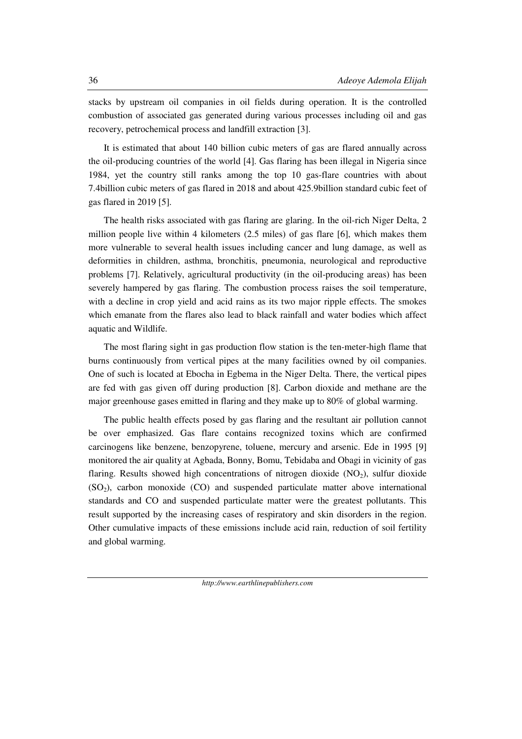stacks by upstream oil companies in oil fields during operation. It is the controlled combustion of associated gas generated during various processes including oil and gas recovery, petrochemical process and landfill extraction [3].

It is estimated that about 140 billion cubic meters of gas are flared annually across the oil-producing countries of the world [4]. Gas flaring has been illegal in Nigeria since 1984, yet the country still ranks among the top 10 gas-flare countries with about 7.4billion cubic meters of gas flared in 2018 and about 425.9billion standard cubic feet of gas flared in 2019 [5].

The health risks associated with gas flaring are glaring. In the oil-rich Niger Delta, 2 million people live within 4 kilometers (2.5 miles) of gas flare [6], which makes them more vulnerable to several health issues including cancer and lung damage, as well as deformities in children, asthma, bronchitis, pneumonia, neurological and reproductive problems [7]. Relatively, agricultural productivity (in the oil-producing areas) has been severely hampered by gas flaring. The combustion process raises the soil temperature, with a decline in crop yield and acid rains as its two major ripple effects. The smokes which emanate from the flares also lead to black rainfall and water bodies which affect aquatic and Wildlife.

The most flaring sight in gas production flow station is the ten-meter-high flame that burns continuously from vertical pipes at the many facilities owned by oil companies. One of such is located at Ebocha in Egbema in the Niger Delta. There, the vertical pipes are fed with gas given off during production [8]. Carbon dioxide and methane are the major greenhouse gases emitted in flaring and they make up to 80% of global warming.

The public health effects posed by gas flaring and the resultant air pollution cannot be over emphasized. Gas flare contains recognized toxins which are confirmed carcinogens like benzene, benzopyrene, toluene, mercury and arsenic. Ede in 1995 [9] monitored the air quality at Agbada, Bonny, Bomu, Tebidaba and Obagi in vicinity of gas flaring. Results showed high concentrations of nitrogen dioxide  $(NO<sub>2</sub>)$ , sulfur dioxide  $(SO<sub>2</sub>)$ , carbon monoxide  $(CO)$  and suspended particulate matter above international standards and CO and suspended particulate matter were the greatest pollutants. This result supported by the increasing cases of respiratory and skin disorders in the region. Other cumulative impacts of these emissions include acid rain, reduction of soil fertility and global warming.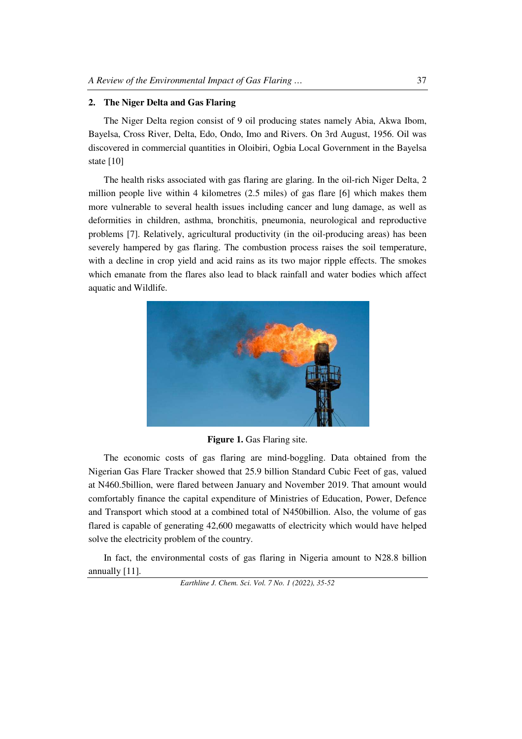## **2. The Niger Delta and Gas Flaring**

The Niger Delta region consist of 9 oil producing states namely Abia, Akwa Ibom, Bayelsa, Cross River, Delta, Edo, Ondo, Imo and Rivers. On 3rd August, 1956. Oil was discovered in commercial quantities in Oloibiri, Ogbia Local Government in the Bayelsa state [10]

The health risks associated with gas flaring are glaring. In the oil-rich Niger Delta, 2 million people live within 4 kilometres (2.5 miles) of gas flare [6] which makes them more vulnerable to several health issues including cancer and lung damage, as well as deformities in children, asthma, bronchitis, pneumonia, neurological and reproductive problems [7]. Relatively, agricultural productivity (in the oil-producing areas) has been severely hampered by gas flaring. The combustion process raises the soil temperature, with a decline in crop yield and acid rains as its two major ripple effects. The smokes which emanate from the flares also lead to black rainfall and water bodies which affect aquatic and Wildlife.



**Figure 1.** Gas Flaring site.

The economic costs of gas flaring are mind-boggling. Data obtained from the Nigerian Gas Flare Tracker showed that 25.9 billion Standard Cubic Feet of gas, valued at N460.5billion, were flared between January and November 2019. That amount would comfortably finance the capital expenditure of Ministries of Education, Power, Defence and Transport which stood at a combined total of N450billion. Also, the volume of gas flared is capable of generating 42,600 megawatts of electricity which would have helped solve the electricity problem of the country.

In fact, the environmental costs of gas flaring in Nigeria amount to N28.8 billion annually [11].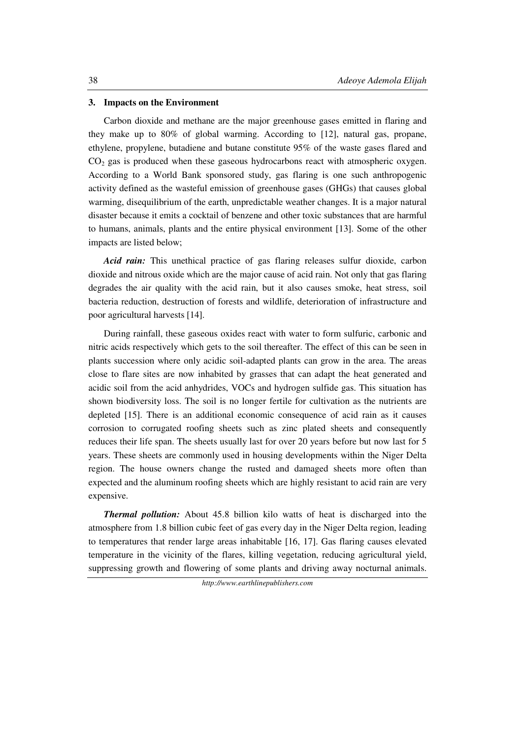#### **3. Impacts on the Environment**

Carbon dioxide and methane are the major greenhouse gases emitted in flaring and they make up to 80% of global warming. According to [12], natural gas, propane, ethylene, propylene, butadiene and butane constitute 95% of the waste gases flared and  $CO<sub>2</sub>$  gas is produced when these gaseous hydrocarbons react with atmospheric oxygen. According to a World Bank sponsored study, gas flaring is one such anthropogenic activity defined as the wasteful emission of greenhouse gases (GHGs) that causes global warming, disequilibrium of the earth, unpredictable weather changes. It is a major natural disaster because it emits a cocktail of benzene and other toxic substances that are harmful to humans, animals, plants and the entire physical environment [13]. Some of the other impacts are listed below;

*Acid rain:* This unethical practice of gas flaring releases sulfur dioxide, carbon dioxide and nitrous oxide which are the major cause of acid rain. Not only that gas flaring degrades the air quality with the acid rain, but it also causes smoke, heat stress, soil bacteria reduction, destruction of forests and wildlife, deterioration of infrastructure and poor agricultural harvests [14].

During rainfall, these gaseous oxides react with water to form sulfuric, carbonic and nitric acids respectively which gets to the soil thereafter. The effect of this can be seen in plants succession where only acidic soil-adapted plants can grow in the area. The areas close to flare sites are now inhabited by grasses that can adapt the heat generated and acidic soil from the acid anhydrides, VOCs and hydrogen sulfide gas. This situation has shown biodiversity loss. The soil is no longer fertile for cultivation as the nutrients are depleted [15]. There is an additional economic consequence of acid rain as it causes corrosion to corrugated roofing sheets such as zinc plated sheets and consequently reduces their life span. The sheets usually last for over 20 years before but now last for 5 years. These sheets are commonly used in housing developments within the Niger Delta region. The house owners change the rusted and damaged sheets more often than expected and the aluminum roofing sheets which are highly resistant to acid rain are very expensive.

*Thermal pollution:* About 45.8 billion kilo watts of heat is discharged into the atmosphere from 1.8 billion cubic feet of gas every day in the Niger Delta region, leading to temperatures that render large areas inhabitable [16, 17]. Gas flaring causes elevated temperature in the vicinity of the flares, killing vegetation, reducing agricultural yield, suppressing growth and flowering of some plants and driving away nocturnal animals.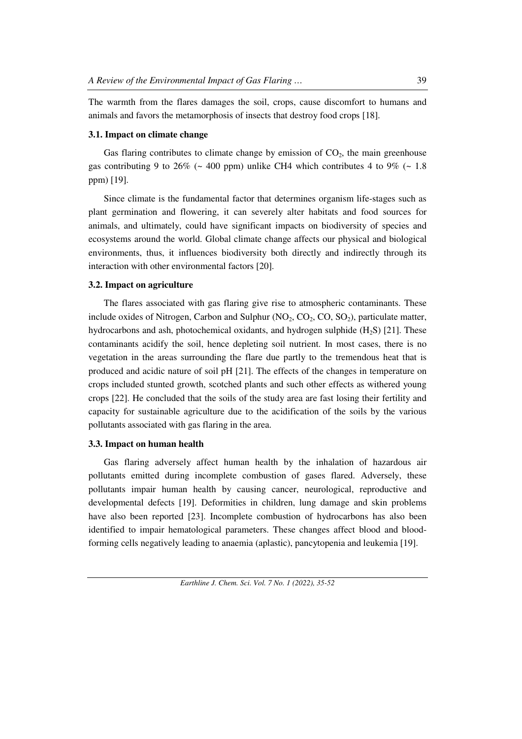The warmth from the flares damages the soil, crops, cause discomfort to humans and animals and favors the metamorphosis of insects that destroy food crops [18].

#### **3.1. Impact on climate change**

Gas flaring contributes to climate change by emission of  $CO<sub>2</sub>$ , the main greenhouse gas contributing 9 to 26% ( $\sim$  400 ppm) unlike CH4 which contributes 4 to 9% ( $\sim$  1.8 ppm) [19].

Since climate is the fundamental factor that determines organism life-stages such as plant germination and flowering, it can severely alter habitats and food sources for animals, and ultimately, could have significant impacts on biodiversity of species and ecosystems around the world. Global climate change affects our physical and biological environments, thus, it influences biodiversity both directly and indirectly through its interaction with other environmental factors [20].

#### **3.2. Impact on agriculture**

The flares associated with gas flaring give rise to atmospheric contaminants. These include oxides of Nitrogen, Carbon and Sulphur  $(NO_2, CO_2, CO, SO_2)$ , particulate matter, hydrocarbons and ash, photochemical oxidants, and hydrogen sulphide  $(H<sub>2</sub>S)$  [21]. These contaminants acidify the soil, hence depleting soil nutrient. In most cases, there is no vegetation in the areas surrounding the flare due partly to the tremendous heat that is produced and acidic nature of soil pH [21]. The effects of the changes in temperature on crops included stunted growth, scotched plants and such other effects as withered young crops [22]. He concluded that the soils of the study area are fast losing their fertility and capacity for sustainable agriculture due to the acidification of the soils by the various pollutants associated with gas flaring in the area.

#### **3.3. Impact on human health**

Gas flaring adversely affect human health by the inhalation of hazardous air pollutants emitted during incomplete combustion of gases flared. Adversely, these pollutants impair human health by causing cancer, neurological, reproductive and developmental defects [19]. Deformities in children, lung damage and skin problems have also been reported [23]. Incomplete combustion of hydrocarbons has also been identified to impair hematological parameters. These changes affect blood and bloodforming cells negatively leading to anaemia (aplastic), pancytopenia and leukemia [19].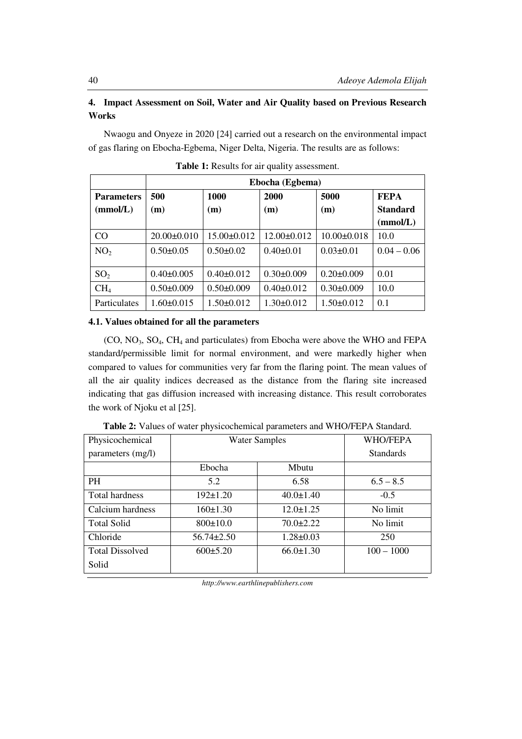# **4. Impact Assessment on Soil, Water and Air Quality based on Previous Research Works**

Nwaogu and Onyeze in 2020 [24] carried out a research on the environmental impact of gas flaring on Ebocha-Egbema, Niger Delta, Nigeria. The results are as follows:

|                          | Ebocha (Egbema)   |                   |                   |                   |                 |  |  |  |  |
|--------------------------|-------------------|-------------------|-------------------|-------------------|-----------------|--|--|--|--|
| 500<br><b>Parameters</b> |                   | <b>1000</b>       | 2000              | 5000              | <b>FEPA</b>     |  |  |  |  |
| (mmol/L)                 | (m)               | (m)               | (m)               | (m)               | <b>Standard</b> |  |  |  |  |
|                          |                   |                   |                   |                   | (mmol/L)        |  |  |  |  |
| CO                       | $20.00 \pm 0.010$ | $15.00 \pm 0.012$ | $12.00 \pm 0.012$ | $10.00 \pm 0.018$ | 10.0            |  |  |  |  |
| NO <sub>2</sub>          | $0.50 \pm 0.05$   | $0.50 \pm 0.02$   | $0.40 \pm 0.01$   | $0.03 \pm 0.01$   | $0.04 - 0.06$   |  |  |  |  |
|                          |                   |                   |                   |                   |                 |  |  |  |  |
| SO <sub>2</sub>          | $0.40 \pm 0.005$  | $0.40 \pm 0.012$  | $0.30 \pm 0.009$  | $0.20 \pm 0.009$  | 0.01            |  |  |  |  |
| CH <sub>4</sub>          | $0.50 \pm 0.009$  | $0.50 \pm 0.009$  | $0.40 \pm 0.012$  | $0.30 \pm 0.009$  | 10.0            |  |  |  |  |
| Particulates             | $1.60 \pm 0.015$  | $1.50 \pm 0.012$  | $1.30 \pm 0.012$  | $1.50 \pm 0.012$  | 0.1             |  |  |  |  |

**Table 1:** Results for air quality assessment.

#### **4.1. Values obtained for all the parameters**

 $(CO, NO<sub>3</sub>, SO<sub>4</sub>, CH<sub>4</sub>$  and particulates) from Ebocha were above the WHO and FEPA standard/permissible limit for normal environment, and were markedly higher when compared to values for communities very far from the flaring point. The mean values of all the air quality indices decreased as the distance from the flaring site increased indicating that gas diffusion increased with increasing distance. This result corroborates the work of Njoku et al [25].

| Physicochemical        | <b>Water Samples</b> | WHO/FEPA         |              |  |
|------------------------|----------------------|------------------|--------------|--|
| parameters (mg/l)      |                      | <b>Standards</b> |              |  |
|                        | Ebocha               | Mbutu            |              |  |
| PH                     | 5.2                  | 6.58             | $6.5 - 8.5$  |  |
| Total hardness         | $192 \pm 1.20$       | $40.0 \pm 1.40$  | $-0.5$       |  |
| Calcium hardness       | 160±1.30             | $12.0 \pm 1.25$  | No limit     |  |
| <b>Total Solid</b>     | $800 \pm 10.0$       | $70.0 \pm 2.22$  | No limit     |  |
| Chloride               | $56.74 \pm 2.50$     | $1.28 \pm 0.03$  | 250          |  |
| <b>Total Dissolved</b> | $600\pm5.20$         |                  | $100 - 1000$ |  |
| Solid                  |                      |                  |              |  |

**Table 2:** Values of water physicochemical parameters and WHO/FEPA Standard.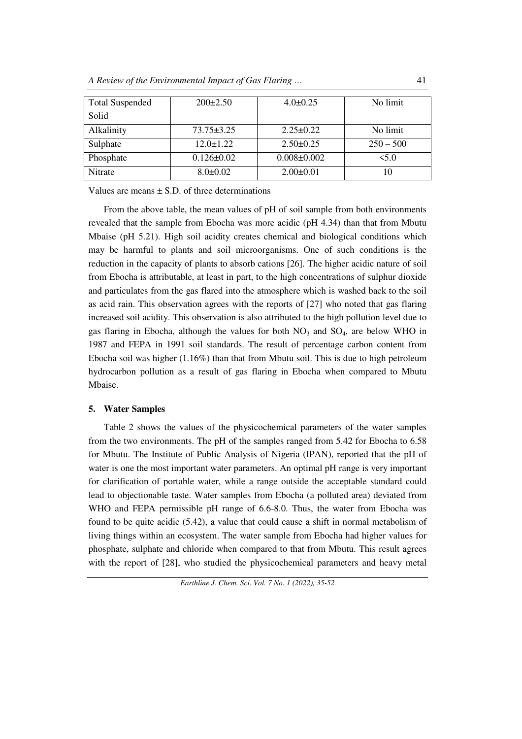| <b>Total Suspended</b> | $200\pm2.50$     | $4.0 \pm 0.25$    | No limit    |  |  |
|------------------------|------------------|-------------------|-------------|--|--|
| Solid                  |                  |                   |             |  |  |
| Alkalinity             | $73.75 \pm 3.25$ | $2.25 \pm 0.22$   | No limit    |  |  |
| Sulphate               | $12.0 \pm 1.22$  | $2.50 \pm 0.25$   | $250 - 500$ |  |  |
| Phosphate              | $0.126 \pm 0.02$ | $0.008 \pm 0.002$ | 5.0         |  |  |
| Nitrate                | $8.0 \pm 0.02$   | $2.00 \pm 0.01$   |             |  |  |

Values are means  $+ S.D.$  of three determinations

 From the above table, the mean values of pH of soil sample from both environments revealed that the sample from Ebocha was more acidic (pH 4.34) than that from Mbutu Mbaise (pH 5.21). High soil acidity creates chemical and biological conditions which may be harmful to plants and soil microorganisms. One of such conditions is the reduction in the capacity of plants to absorb cations [26]. The higher acidic nature of soil from Ebocha is attributable, at least in part, to the high concentrations of sulphur dioxide and particulates from the gas flared into the atmosphere which is washed back to the soil as acid rain. This observation agrees with the reports of [27] who noted that gas flaring increased soil acidity. This observation is also attributed to the high pollution level due to gas flaring in Ebocha, although the values for both  $NO<sub>3</sub>$  and  $SO<sub>4</sub>$ , are below WHO in 1987 and FEPA in 1991 soil standards. The result of percentage carbon content from Ebocha soil was higher (1.16%) than that from Mbutu soil. This is due to high petroleum hydrocarbon pollution as a result of gas flaring in Ebocha when compared to Mbutu Mbaise.

#### **5. Water Samples**

 Table 2 shows the values of the physicochemical parameters of the water samples from the two environments. The pH of the samples ranged from 5.42 for Ebocha to 6.58 for Mbutu. The Institute of Public Analysis of Nigeria (IPAN), reported that the pH of water is one the most important water parameters. An optimal pH range is very important for clarification of portable water, while a range outside the acceptable standard could lead to objectionable taste. Water samples from Ebocha (a polluted area) deviated from WHO and FEPA permissible pH range of 6.6-8.0. Thus, the water from Ebocha was found to be quite acidic (5.42), a value that could cause a shift in normal metabolism of living things within an ecosystem. The water sample from Ebocha had higher values for phosphate, sulphate and chloride when compared to that from Mbutu. This result agrees with the report of [28], who studied the physicochemical parameters and heavy metal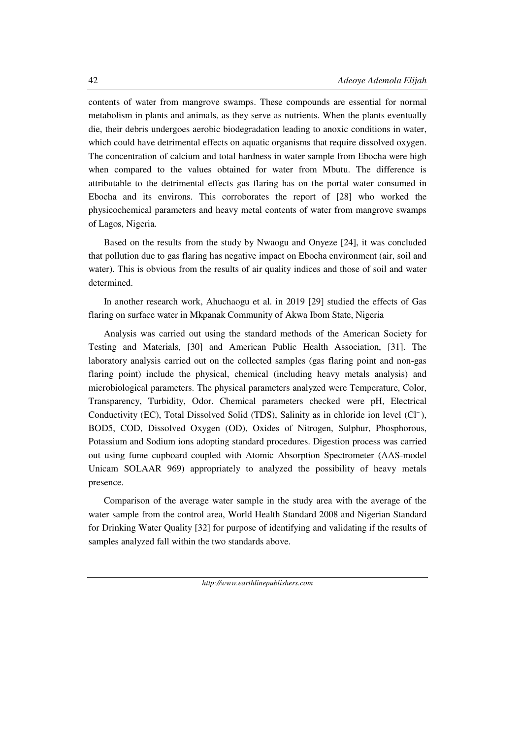contents of water from mangrove swamps. These compounds are essential for normal metabolism in plants and animals, as they serve as nutrients. When the plants eventually die, their debris undergoes aerobic biodegradation leading to anoxic conditions in water, which could have detrimental effects on aquatic organisms that require dissolved oxygen. The concentration of calcium and total hardness in water sample from Ebocha were high when compared to the values obtained for water from Mbutu. The difference is attributable to the detrimental effects gas flaring has on the portal water consumed in Ebocha and its environs. This corroborates the report of [28] who worked the physicochemical parameters and heavy metal contents of water from mangrove swamps of Lagos, Nigeria.

 Based on the results from the study by Nwaogu and Onyeze [24], it was concluded that pollution due to gas flaring has negative impact on Ebocha environment (air, soil and water). This is obvious from the results of air quality indices and those of soil and water determined.

 In another research work, Ahuchaogu et al. in 2019 [29] studied the effects of Gas flaring on surface water in Mkpanak Community of Akwa Ibom State, Nigeria

Analysis was carried out using the standard methods of the American Society for Testing and Materials, [30] and American Public Health Association, [31]. The laboratory analysis carried out on the collected samples (gas flaring point and non-gas flaring point) include the physical, chemical (including heavy metals analysis) and microbiological parameters. The physical parameters analyzed were Temperature, Color, Transparency, Turbidity, Odor. Chemical parameters checked were pH, Electrical Conductivity (EC), Total Dissolved Solid (TDS), Salinity as in chloride ion level (Cl<sup>-</sup>), BOD5, COD, Dissolved Oxygen (OD), Oxides of Nitrogen, Sulphur, Phosphorous, Potassium and Sodium ions adopting standard procedures. Digestion process was carried out using fume cupboard coupled with Atomic Absorption Spectrometer (AAS-model Unicam SOLAAR 969) appropriately to analyzed the possibility of heavy metals presence.

 Comparison of the average water sample in the study area with the average of the water sample from the control area, World Health Standard 2008 and Nigerian Standard for Drinking Water Quality [32] for purpose of identifying and validating if the results of samples analyzed fall within the two standards above.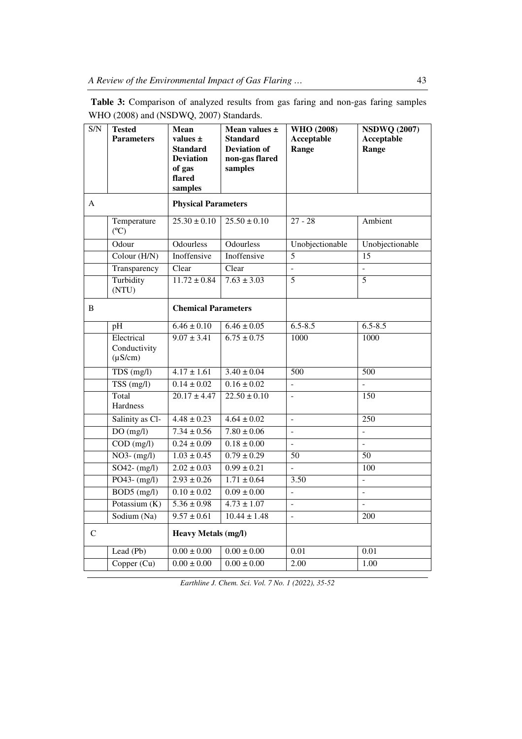**Table 3:** Comparison of analyzed results from gas faring and non-gas faring samples WHO (2008) and (NSDWQ, 2007) Standards.

| $\overline{S/N}$ | <b>Tested</b><br><b>Parameters</b>         | <b>Mean</b><br>values $\pm$<br><b>Standard</b><br><b>Deviation</b><br>of gas<br>flared<br>samples | Mean values ±<br><b>Standard</b><br><b>Deviation of</b><br>non-gas flared<br>samples | <b>WHO</b> (2008)<br><b>Acceptable</b><br>Range | <b>NSDWQ (2007)</b><br><b>Acceptable</b><br>Range |  |
|------------------|--------------------------------------------|---------------------------------------------------------------------------------------------------|--------------------------------------------------------------------------------------|-------------------------------------------------|---------------------------------------------------|--|
| A                |                                            | <b>Physical Parameters</b>                                                                        |                                                                                      |                                                 |                                                   |  |
|                  | Temperature<br>$(C^{\circ}C)$              | $\overline{25.30 \pm 0.10}$                                                                       | $25.50 \pm 0.10$                                                                     | $27 - 28$                                       | Ambient                                           |  |
|                  | Odour                                      | <b>Odourless</b>                                                                                  | <b>Odourless</b>                                                                     | Unobjectionable                                 | Unobjectionable                                   |  |
|                  | Colour $(H/N)$                             | Inoffensive                                                                                       | Inoffensive                                                                          | $\overline{5}$                                  | $\overline{15}$                                   |  |
|                  | Transparency                               | Clear                                                                                             | Clear                                                                                | $\overline{a}$                                  | $\overline{a}$                                    |  |
|                  | Turbidity<br>(NTU)                         | $11.72 \pm 0.84$                                                                                  | $7.63 \pm 3.03$                                                                      | $\overline{5}$                                  | 5                                                 |  |
| B                |                                            | <b>Chemical Parameters</b>                                                                        |                                                                                      |                                                 |                                                   |  |
|                  | pH                                         | $6.46 \pm 0.10$                                                                                   | $6.46 \pm 0.05$                                                                      | $6.5 - 8.5$                                     | $6.5 - 8.5$                                       |  |
|                  | Electrical<br>Conductivity<br>$(\mu S/cm)$ | $9.07 \pm 3.41$                                                                                   | $6.75 \pm 0.75$                                                                      | 1000                                            | 1000                                              |  |
|                  | TDS(mg/l)                                  | $4.17 \pm 1.61$                                                                                   | $3.40 \pm 0.04$                                                                      | 500                                             | 500                                               |  |
|                  | $TSS$ (mg/l)                               | $0.14 \pm 0.02$                                                                                   | $0.16 \pm 0.02$                                                                      | $\overline{\phantom{a}}$                        |                                                   |  |
|                  | Total<br>Hardness                          | $20.17 \pm 4.47$                                                                                  | $22.50 \pm 0.10$                                                                     |                                                 | 150                                               |  |
|                  | Salinity as Cl-                            | $4.48 \pm 0.23$                                                                                   | $4.64 \pm 0.02$                                                                      | $\overline{a}$                                  | $\overline{250}$                                  |  |
|                  | DO(mg/l)                                   | $7.34 \pm 0.56$                                                                                   | $7.80 \pm 0.06$                                                                      | $\mathbf{r}$                                    | $\overline{a}$                                    |  |
|                  | $\overline{COD}$ (mg/l)                    | $0.24 \pm 0.09$                                                                                   | $0.18 \pm 0.00$                                                                      | $\mathbf{r}$                                    | $\overline{a}$                                    |  |
|                  | $NO3-(mg/l)$                               | $1.03 \pm 0.45$                                                                                   | $0.79 \pm 0.29$                                                                      | 50                                              | 50                                                |  |
|                  | $SO42 - (mg/l)$                            | $2.02 \pm 0.03$                                                                                   | $0.99 \pm 0.21$                                                                      | $\mathbf{r}$                                    | 100                                               |  |
|                  | $PO43 - (mg/l)$                            | $2.93 \pm 0.26$                                                                                   | $1.71 \pm 0.64$                                                                      | 3.50                                            | $\overline{a}$                                    |  |
|                  | $BOD5$ (mg/l)                              | $0.10 \pm 0.02$                                                                                   | $0.09 \pm 0.00$                                                                      | $\overline{a}$                                  | $\overline{a}$                                    |  |
|                  | Potassium $(K)$                            | $5.36 \pm 0.98$                                                                                   | $4.73 \pm 1.07$                                                                      | $\overline{a}$                                  | $\overline{a}$                                    |  |
|                  | Sodium (Na)                                | $9.57 \pm 0.61$                                                                                   | $10.44 \pm 1.48$                                                                     | $\overline{a}$                                  | 200                                               |  |
| C                |                                            | Heavy Metals (mg/l)                                                                               |                                                                                      |                                                 |                                                   |  |
|                  | Lead (Pb)                                  | $0.00 \pm 0.00$                                                                                   | $0.00 \pm 0.00$                                                                      | 0.01                                            | 0.01                                              |  |
|                  | Copper $(Cu)$                              | $0.00 \pm 0.00$                                                                                   | $0.00 \pm 0.00$                                                                      | 2.00                                            | 1.00                                              |  |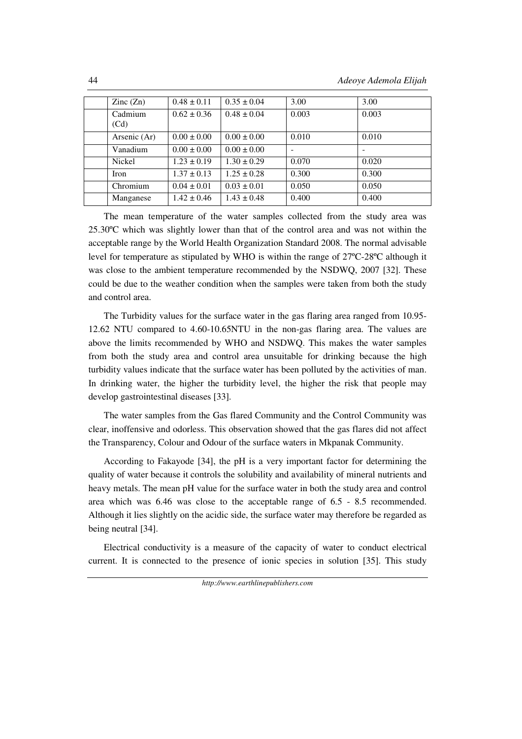| $\text{Zinc}(\text{Zn})$ | $0.48 \pm 0.11$ | $0.35 \pm 0.04$ | 3.00  | 3.00  |
|--------------------------|-----------------|-----------------|-------|-------|
| Cadmium<br>(Cd)          | $0.62 \pm 0.36$ | $0.48 \pm 0.04$ | 0.003 | 0.003 |
| Arsenic (Ar)             | $0.00 \pm 0.00$ | $0.00 \pm 0.00$ | 0.010 | 0.010 |
| Vanadium                 | $0.00 \pm 0.00$ | $0.00 \pm 0.00$ |       |       |
| Nickel                   | $1.23 \pm 0.19$ | $1.30 \pm 0.29$ | 0.070 | 0.020 |
| Iron                     | $1.37 \pm 0.13$ | $1.25 \pm 0.28$ | 0.300 | 0.300 |
| Chromium                 | $0.04 \pm 0.01$ | $0.03 \pm 0.01$ | 0.050 | 0.050 |
| Manganese                | $1.42 \pm 0.46$ | $1.43 \pm 0.48$ | 0.400 | 0.400 |

The mean temperature of the water samples collected from the study area was 25.30ºC which was slightly lower than that of the control area and was not within the acceptable range by the World Health Organization Standard 2008. The normal advisable level for temperature as stipulated by WHO is within the range of 27ºC-28ºC although it was close to the ambient temperature recommended by the NSDWQ, 2007 [32]. These could be due to the weather condition when the samples were taken from both the study and control area.

 The Turbidity values for the surface water in the gas flaring area ranged from 10.95- 12.62 NTU compared to 4.60-10.65NTU in the non-gas flaring area. The values are above the limits recommended by WHO and NSDWQ. This makes the water samples from both the study area and control area unsuitable for drinking because the high turbidity values indicate that the surface water has been polluted by the activities of man. In drinking water, the higher the turbidity level, the higher the risk that people may develop gastrointestinal diseases [33].

The water samples from the Gas flared Community and the Control Community was clear, inoffensive and odorless. This observation showed that the gas flares did not affect the Transparency, Colour and Odour of the surface waters in Mkpanak Community.

According to Fakayode [34], the pH is a very important factor for determining the quality of water because it controls the solubility and availability of mineral nutrients and heavy metals. The mean pH value for the surface water in both the study area and control area which was 6.46 was close to the acceptable range of 6.5 - 8.5 recommended. Although it lies slightly on the acidic side, the surface water may therefore be regarded as being neutral [34].

Electrical conductivity is a measure of the capacity of water to conduct electrical current. It is connected to the presence of ionic species in solution [35]. This study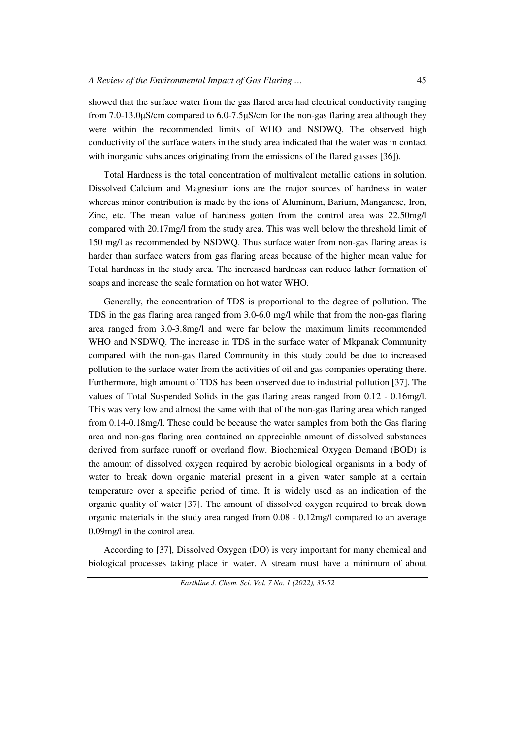showed that the surface water from the gas flared area had electrical conductivity ranging from 7.0-13.0μS/cm compared to 6.0-7.5μS/cm for the non-gas flaring area although they were within the recommended limits of WHO and NSDWQ. The observed high conductivity of the surface waters in the study area indicated that the water was in contact with inorganic substances originating from the emissions of the flared gasses [36]).

Total Hardness is the total concentration of multivalent metallic cations in solution. Dissolved Calcium and Magnesium ions are the major sources of hardness in water whereas minor contribution is made by the ions of Aluminum, Barium, Manganese, Iron, Zinc, etc. The mean value of hardness gotten from the control area was 22.50mg/l compared with 20.17mg/l from the study area. This was well below the threshold limit of 150 mg/l as recommended by NSDWQ. Thus surface water from non-gas flaring areas is harder than surface waters from gas flaring areas because of the higher mean value for Total hardness in the study area. The increased hardness can reduce lather formation of soaps and increase the scale formation on hot water WHO.

Generally, the concentration of TDS is proportional to the degree of pollution. The TDS in the gas flaring area ranged from 3.0-6.0 mg/l while that from the non-gas flaring area ranged from 3.0-3.8mg/l and were far below the maximum limits recommended WHO and NSDWQ. The increase in TDS in the surface water of Mkpanak Community compared with the non-gas flared Community in this study could be due to increased pollution to the surface water from the activities of oil and gas companies operating there. Furthermore, high amount of TDS has been observed due to industrial pollution [37]. The values of Total Suspended Solids in the gas flaring areas ranged from 0.12 - 0.16mg/l. This was very low and almost the same with that of the non-gas flaring area which ranged from 0.14-0.18mg/l. These could be because the water samples from both the Gas flaring area and non-gas flaring area contained an appreciable amount of dissolved substances derived from surface runoff or overland flow. Biochemical Oxygen Demand (BOD) is the amount of dissolved oxygen required by aerobic biological organisms in a body of water to break down organic material present in a given water sample at a certain temperature over a specific period of time. It is widely used as an indication of the organic quality of water [37]. The amount of dissolved oxygen required to break down organic materials in the study area ranged from 0.08 - 0.12mg/l compared to an average 0.09mg/l in the control area.

According to [37], Dissolved Oxygen (DO) is very important for many chemical and biological processes taking place in water. A stream must have a minimum of about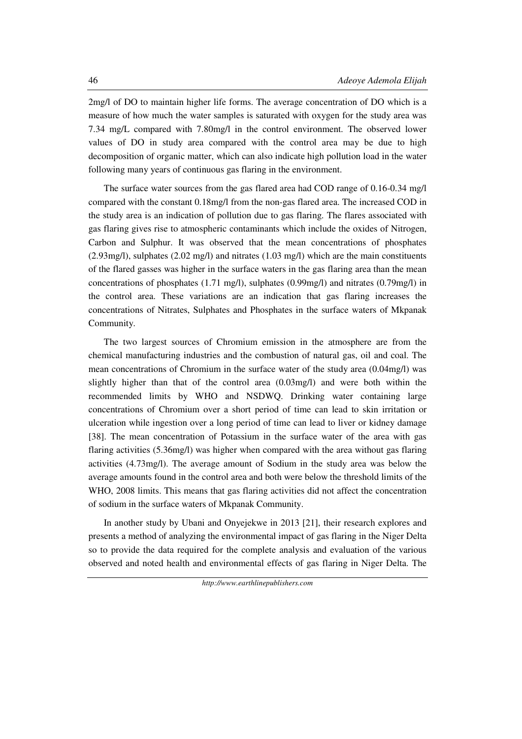2mg/l of DO to maintain higher life forms. The average concentration of DO which is a measure of how much the water samples is saturated with oxygen for the study area was 7.34 mg/L compared with 7.80mg/l in the control environment. The observed lower values of DO in study area compared with the control area may be due to high decomposition of organic matter, which can also indicate high pollution load in the water following many years of continuous gas flaring in the environment.

 The surface water sources from the gas flared area had COD range of 0.16-0.34 mg/l compared with the constant 0.18mg/l from the non-gas flared area. The increased COD in the study area is an indication of pollution due to gas flaring. The flares associated with gas flaring gives rise to atmospheric contaminants which include the oxides of Nitrogen, Carbon and Sulphur. It was observed that the mean concentrations of phosphates (2.93mg/l), sulphates (2.02 mg/l) and nitrates (1.03 mg/l) which are the main constituents of the flared gasses was higher in the surface waters in the gas flaring area than the mean concentrations of phosphates (1.71 mg/l), sulphates (0.99mg/l) and nitrates (0.79mg/l) in the control area. These variations are an indication that gas flaring increases the concentrations of Nitrates, Sulphates and Phosphates in the surface waters of Mkpanak Community.

 The two largest sources of Chromium emission in the atmosphere are from the chemical manufacturing industries and the combustion of natural gas, oil and coal. The mean concentrations of Chromium in the surface water of the study area (0.04mg/l) was slightly higher than that of the control area (0.03mg/l) and were both within the recommended limits by WHO and NSDWQ. Drinking water containing large concentrations of Chromium over a short period of time can lead to skin irritation or ulceration while ingestion over a long period of time can lead to liver or kidney damage [38]. The mean concentration of Potassium in the surface water of the area with gas flaring activities (5.36mg/l) was higher when compared with the area without gas flaring activities (4.73mg/l). The average amount of Sodium in the study area was below the average amounts found in the control area and both were below the threshold limits of the WHO, 2008 limits. This means that gas flaring activities did not affect the concentration of sodium in the surface waters of Mkpanak Community.

In another study by Ubani and Onyejekwe in 2013 [21], their research explores and presents a method of analyzing the environmental impact of gas flaring in the Niger Delta so to provide the data required for the complete analysis and evaluation of the various observed and noted health and environmental effects of gas flaring in Niger Delta. The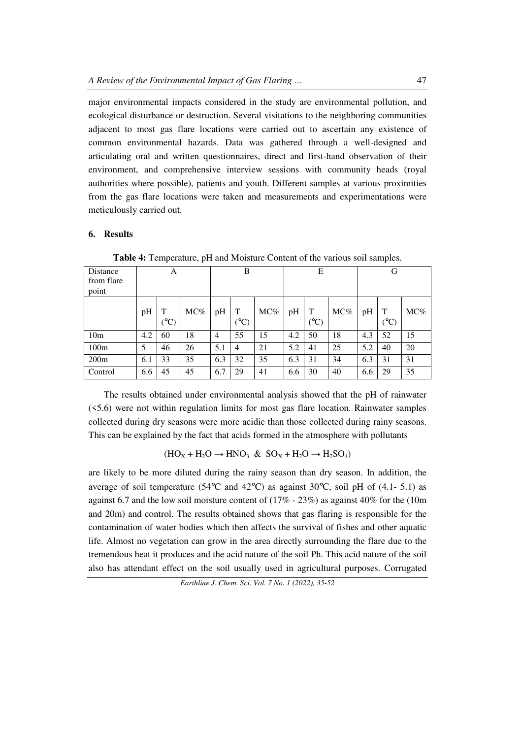major environmental impacts considered in the study are environmental pollution, and ecological disturbance or destruction. Several visitations to the neighboring communities adjacent to most gas flare locations were carried out to ascertain any existence of common environmental hazards. Data was gathered through a well-designed and articulating oral and written questionnaires, direct and first-hand observation of their environment, and comprehensive interview sessions with community heads (royal authorities where possible), patients and youth. Different samples at various proximities from the gas flare locations were taken and measurements and experimentations were meticulously carried out.

#### **6. Results**

| Distance<br>from flare<br>point | А   |                       |     | B              |                      | Е   |     |                      | G   |     |                      |     |
|---------------------------------|-----|-----------------------|-----|----------------|----------------------|-----|-----|----------------------|-----|-----|----------------------|-----|
|                                 | pH  | T<br>$\rm ^{\circ}C)$ | MC% | pH             | T<br>$({}^{\circ}C)$ | MC% | pH  | T<br>$({}^{\circ}C)$ | MC% | pH  | T<br>$({}^{\circ}C)$ | MC% |
| 10 <sub>m</sub>                 | 4.2 | 60                    | 18  | $\overline{4}$ | 55                   | 15  | 4.2 | 50                   | 18  | 4.3 | 52                   | 15  |
| 100m                            | 5   | 46                    | 26  | 5.1            | 4                    | 21  | 5.2 | 41                   | 25  | 5.2 | 40                   | 20  |
| 200m                            | 6.1 | 33                    | 35  | 6.3            | 32                   | 35  | 6.3 | 31                   | 34  | 6.3 | 31                   | 31  |
| Control                         | 6.6 | 45                    | 45  | 6.7            | 29                   | 41  | 6.6 | 30                   | 40  | 6.6 | 29                   | 35  |

**Table 4:** Temperature, pH and Moisture Content of the various soil samples.

The results obtained under environmental analysis showed that the pH of rainwater (<5.6) were not within regulation limits for most gas flare location. Rainwater samples collected during dry seasons were more acidic than those collected during rainy seasons. This can be explained by the fact that acids formed in the atmosphere with pollutants

$$
(HO_X+H_2O\rightarrow HNO_3\ \&\ SO_X+H_2O\rightarrow H_2SO_4)
$$

are likely to be more diluted during the rainy season than dry season. In addition, the average of soil temperature (54 $^{\circ}$ C and 42 $^{\circ}$ C) as against 30 $^{\circ}$ C, soil pH of (4.1- 5.1) as against 6.7 and the low soil moisture content of  $(17\% - 23\%)$  as against 40% for the (10m) and 20m) and control. The results obtained shows that gas flaring is responsible for the contamination of water bodies which then affects the survival of fishes and other aquatic life. Almost no vegetation can grow in the area directly surrounding the flare due to the tremendous heat it produces and the acid nature of the soil Ph. This acid nature of the soil also has attendant effect on the soil usually used in agricultural purposes. Corrugated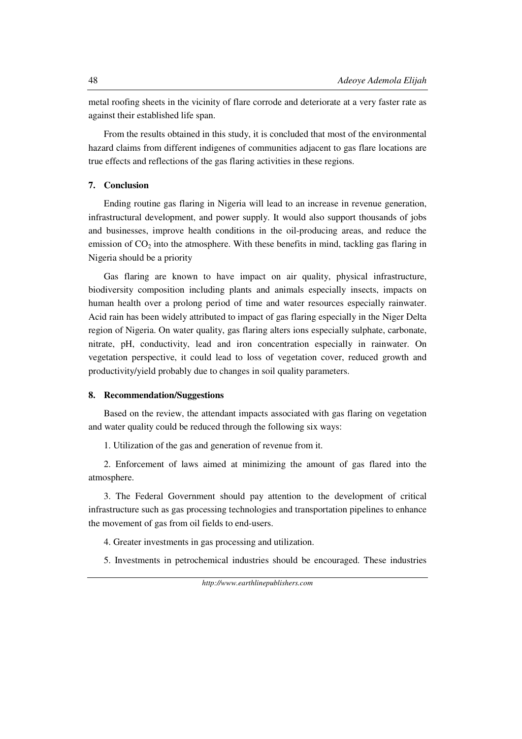metal roofing sheets in the vicinity of flare corrode and deteriorate at a very faster rate as against their established life span.

From the results obtained in this study, it is concluded that most of the environmental hazard claims from different indigenes of communities adjacent to gas flare locations are true effects and reflections of the gas flaring activities in these regions.

## **7. Conclusion**

Ending routine gas flaring in Nigeria will lead to an increase in revenue generation, infrastructural development, and power supply. It would also support thousands of jobs and businesses, improve health conditions in the oil-producing areas, and reduce the emission of  $CO<sub>2</sub>$  into the atmosphere. With these benefits in mind, tackling gas flaring in Nigeria should be a priority

Gas flaring are known to have impact on air quality, physical infrastructure, biodiversity composition including plants and animals especially insects, impacts on human health over a prolong period of time and water resources especially rainwater. Acid rain has been widely attributed to impact of gas flaring especially in the Niger Delta region of Nigeria. On water quality, gas flaring alters ions especially sulphate, carbonate, nitrate, pH, conductivity, lead and iron concentration especially in rainwater. On vegetation perspective, it could lead to loss of vegetation cover, reduced growth and productivity/yield probably due to changes in soil quality parameters.

#### **8. Recommendation/Suggestions**

Based on the review, the attendant impacts associated with gas flaring on vegetation and water quality could be reduced through the following six ways:

1. Utilization of the gas and generation of revenue from it.

 2. Enforcement of laws aimed at minimizing the amount of gas flared into the atmosphere.

 3. The Federal Government should pay attention to the development of critical infrastructure such as gas processing technologies and transportation pipelines to enhance the movement of gas from oil fields to end-users.

4. Greater investments in gas processing and utilization.

5. Investments in petrochemical industries should be encouraged. These industries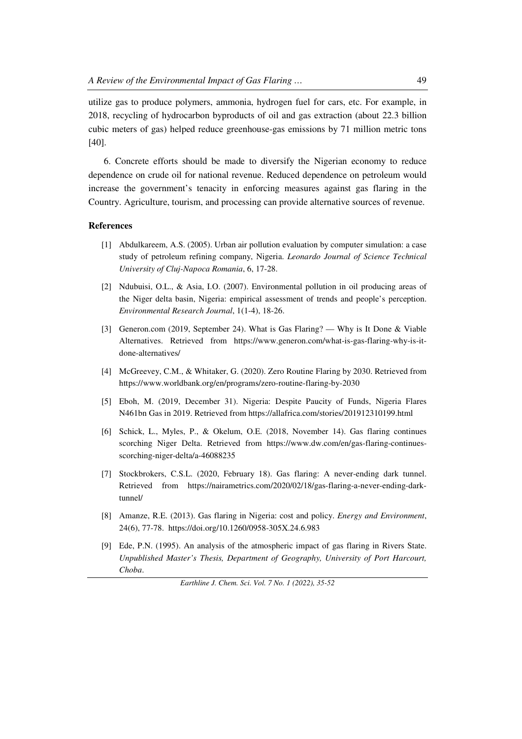utilize gas to produce polymers, ammonia, hydrogen fuel for cars, etc. For example, in 2018, recycling of hydrocarbon byproducts of oil and gas extraction (about 22.3 billion cubic meters of gas) helped reduce greenhouse-gas emissions by 71 million metric tons [40].

 6. Concrete efforts should be made to diversify the Nigerian economy to reduce dependence on crude oil for national revenue. Reduced dependence on petroleum would increase the government's tenacity in enforcing measures against gas flaring in the Country. Agriculture, tourism, and processing can provide alternative sources of revenue.

#### **References**

- [1] Abdulkareem, A.S. (2005). Urban air pollution evaluation by computer simulation: a case study of petroleum refining company, Nigeria. *Leonardo Journal of Science Technical University of Cluj-Napoca Romania*, 6, 17-28.
- [2] Ndubuisi, O.L., & Asia, I.O. (2007). Environmental pollution in oil producing areas of the Niger delta basin, Nigeria: empirical assessment of trends and people's perception. *Environmental Research Journal*, 1(1-4), 18-26.
- [3] Generon.com (2019, September 24). What is Gas Flaring? Why is It Done & Viable Alternatives. Retrieved from https://www.generon.com/what-is-gas-flaring-why-is-itdone-alternatives/
- [4] McGreevey, C.M., & Whitaker, G. (2020). Zero Routine Flaring by 2030. Retrieved from https://www.worldbank.org/en/programs/zero-routine-flaring-by-2030
- [5] Eboh, M. (2019, December 31). Nigeria: Despite Paucity of Funds, Nigeria Flares N461bn Gas in 2019. Retrieved from https://allafrica.com/stories/201912310199.html
- [6] Schick, L., Myles, P., & Okelum, O.E. (2018, November 14). Gas flaring continues scorching Niger Delta. Retrieved from https://www.dw.com/en/gas-flaring-continuesscorching-niger-delta/a-46088235
- [7] Stockbrokers, C.S.L. (2020, February 18). Gas flaring: A never-ending dark tunnel. Retrieved from https://nairametrics.com/2020/02/18/gas-flaring-a-never-ending-darktunnel/
- [8]Amanze, R.E. (2013). Gas flaring in Nigeria: cost and policy. *Energy and Environment*, 24(6), 77-78. https://doi.org/10.1260/0958-305X.24.6.983
- [9]Ede, P.N. (1995). An analysis of the atmospheric impact of gas flaring in Rivers State. *Unpublished Master's Thesis, Department of Geography, University of Port Harcourt, Choba*.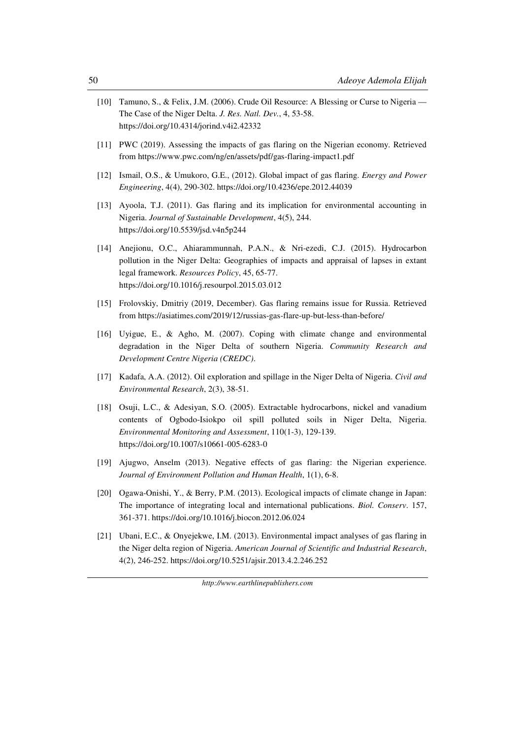- [10]Tamuno, S., & Felix, J.M. (2006). Crude Oil Resource: A Blessing or Curse to Nigeria The Case of the Niger Delta. *J. Res. Natl. Dev.*, 4, 53-58. https://doi.org/10.4314/jorind.v4i2.42332
- [11]PWC (2019). Assessing the impacts of gas flaring on the Nigerian economy. Retrieved from https://www.pwc.com/ng/en/assets/pdf/gas-flaring-impact1.pdf
- [12] Ismail, O.S., & Umukoro, G.E., (2012). Global impact of gas flaring. *Energy and Power Engineering*, 4(4), 290-302. https://doi.org/10.4236/epe.2012.44039
- [13] Ayoola, T.J. (2011). Gas flaring and its implication for environmental accounting in Nigeria. *Journal of Sustainable Development*, 4(5), 244. https://doi.org/10.5539/jsd.v4n5p244
- [14] Anejionu, O.C., Ahiarammunnah, P.A.N., & Nri-ezedi, C.J. (2015). Hydrocarbon pollution in the Niger Delta: Geographies of impacts and appraisal of lapses in extant legal framework. *Resources Policy*, 45, 65-77. https://doi.org/10.1016/j.resourpol.2015.03.012
- [15] Frolovskiy, Dmitriy (2019, December). Gas flaring remains issue for Russia. Retrieved from https://asiatimes.com/2019/12/russias-gas-flare-up-but-less-than-before/
- [16] Uyigue, E., & Agho, M. (2007). Coping with climate change and environmental degradation in the Niger Delta of southern Nigeria. *Community Research and Development Centre Nigeria (CREDC)*.
- [17] Kadafa, A.A. (2012). Oil exploration and spillage in the Niger Delta of Nigeria. *Civil and Environmental Research*, 2(3), 38-51.
- [18] Osuji, L.C., & Adesiyan, S.O. (2005). Extractable hydrocarbons, nickel and vanadium contents of Ogbodo-Isiokpo oil spill polluted soils in Niger Delta, Nigeria. *Environmental Monitoring and Assessment*, 110(1-3), 129-139. https://doi.org/10.1007/s10661-005-6283-0
- [19] Ajugwo, Anselm (2013). Negative effects of gas flaring: the Nigerian experience. *Journal of Environment Pollution and Human Health*, 1(1), 6-8.
- [20] Ogawa-Onishi, Y., & Berry, P.M. (2013). Ecological impacts of climate change in Japan: The importance of integrating local and international publications. *Biol. Conserv*. 157, 361-371. https://doi.org/10.1016/j.biocon.2012.06.024
- [21]Ubani, E.C., & Onyejekwe, I.M. (2013). Environmental impact analyses of gas flaring in the Niger delta region of Nigeria. *American Journal of Scientific and Industrial Research*, 4(2), 246-252. https://doi.org/10.5251/ajsir.2013.4.2.246.252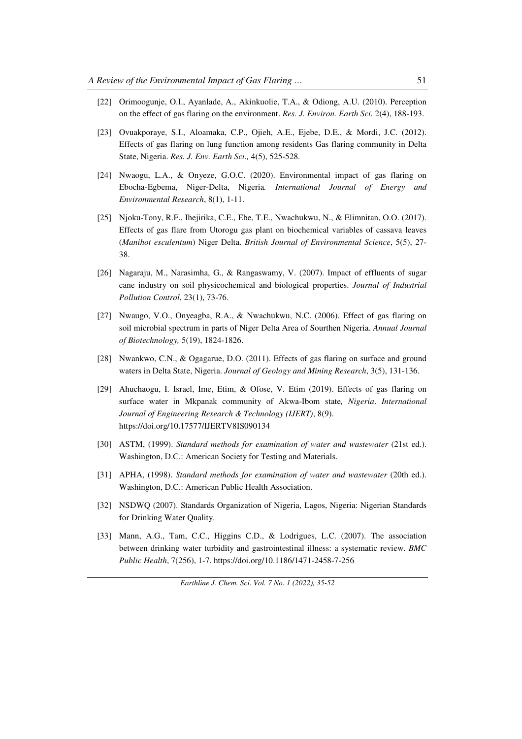- [22] Orimoogunje, O.I., Ayanlade, A., Akinkuolie, T.A., & Odiong, A.U. (2010). Perception on the effect of gas flaring on the environment. *Res. J. Environ. Earth Sci.* 2(4), 188-193.
- [23] Ovuakporaye, S.I., Aloamaka, C.P., Ojieh, A.E., Ejebe, D.E., & Mordi, J.C. (2012). Effects of gas flaring on lung function among residents Gas flaring community in Delta State, Nigeria. *Res. J. Env. Earth Sci.,* 4(5), 525-528.
- [24]Nwaogu, L.A., & Onyeze, G.O.C. (2020). Environmental impact of gas flaring on Ebocha-Egbema, Niger-Delta, Nigeria*. International Journal of Energy and Environmental Research*, 8(1), 1-11.
- [25] Njoku-Tony, R.F., Ihejirika, C.E., Ebe, T.E., Nwachukwu, N., & Elimnitan, O.O. (2017). Effects of gas flare from Utorogu gas plant on biochemical variables of cassava leaves (*Manihot esculentum*) Niger Delta. *British Journal of Environmental Science*, 5(5), 27- 38.
- [26] Nagaraju, M., Narasimha, G., & Rangaswamy, V. (2007). Impact of effluents of sugar cane industry on soil physicochemical and biological properties. *Journal of Industrial Pollution Control*, 23(1), 73-76.
- [27] Nwaugo, V.O., Onyeagba, R.A., & Nwachukwu, N.C. (2006). Effect of gas flaring on soil microbial spectrum in parts of Niger Delta Area of Sourthen Nigeria. *Annual Journal of Biotechnology,* 5(19), 1824-1826.
- [28] Nwankwo, C.N., & Ogagarue, D.O. (2011). Effects of gas flaring on surface and ground waters in Delta State, Nigeria. *Journal of Geology and Mining Research*, 3(5), 131-136.
- [29] Ahuchaogu, I. Israel, Ime, Etim, & Ofose, V. Etim (2019). Effects of gas flaring on surface water in Mkpanak community of Akwa-Ibom state*, Nigeria*. *International Journal of Engineering Research & Technology (IJERT)*, 8(9). https://doi.org/10.17577/IJERTV8IS090134
- [30] ASTM, (1999). *Standard methods for examination of water and wastewater* (21st ed.). Washington, D.C.: American Society for Testing and Materials.
- [31] APHA, (1998). *Standard methods for examination of water and wastewater* (20th ed.). Washington, D.C.: American Public Health Association.
- [32] NSDWQ (2007). Standards Organization of Nigeria, Lagos, Nigeria: Nigerian Standards for Drinking Water Quality.
- [33] Mann, A.G., Tam, C.C., Higgins C.D., & Lodrigues, L.C. (2007). The association between drinking water turbidity and gastrointestinal illness: a systematic review. *BMC Public Health*, 7(256), 1-7. https://doi.org/10.1186/1471-2458-7-256